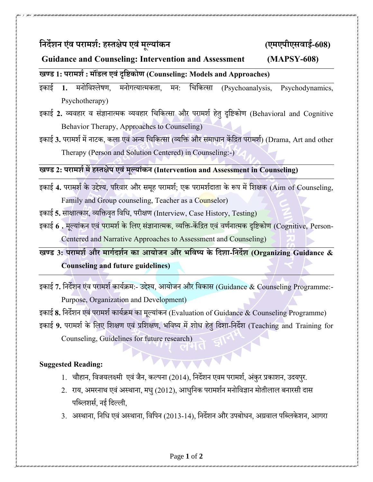**निर्देशि एवं परामशश**

**: हस् तक्षेप एवंमूलांकि (एमएपीएसवाई-608)**

## **Guidance and Counseling: Intervention and Assessment (MAPSY-608)**

## **खण् ड 1: परामशश: म डं ल एवंदृनिकोण (Counseling: Models and Approaches)**

इकाई 1. मनोविश्लेषण, मनोगत्यात्मकता, मन: चिकित्सा (Psychoanalysis, Psychodynamics, Psychotherapy)

- इकाई 2. व्यवहार व संज्ञानात्मक व्यवहार चिकित्सा और परामर्श हेतु दृष्टिकोण (Behavioral and Cognitive Behavior Therapy, Approaches to Counseling)
- इकाई 3. परामर्श में नाटक, कला एवं अन्य चिकित्सा (व्यक्ति और समाधान केंद्रित परामर्श) (Drama, Art and other Therapy (Person and Solution Centered) in Counseling:-)

## **खण् ड 2: परामशश में हस् तक्षेप एवंमूलांकि (Intervention and Assessment in Counseling)**

- इकाई 4. परामर्श के उद्देश्य, परिवार और समूह परामर्श; एक परामर्शदाता के रूप में शिक्षक (Aim of Counseling, Family and Group counseling, Teacher as a Counselor)
- इकाई 5. साक्षात्कार, व्यक्तिवृत विधि, परीक्षण (Interview, Case History, Testing)
- इकाई 6 . मूल्यांकन एवं <mark>पराम</mark>र्श के लिए संज्ञानात्मक, व्यक्ति-केंद्रित एवं वर्णनात्मक दृष्टिकोण (Cognitive, Person-Centered and Narrative Approaches to Assessment and Counseling)

**खण् ड 3: परामशश और मार्शर्दशशि का आोजि और भनवष् के नर्दशा-निर्देश (Organizing Guidance & Counseling and future guidelines)**

- इकाई 7. निर्देशन एंव परामर्श कार्यक्रम:- उद्देश्य, आयोजन और विकास (Guidance & Counseling Programme:-Purpose, Organization and Development)
- इकाई 8. निर्देशन एवं परामर्श कार्यक्रम का मूल्यांकन (Evaluation of Guidance & Counseling Programme)
- इकाई 9. परामर्श के लिए शिक्षण एवं प्रशिक्षण, भविष्य में शोध हेत् दिशा-निर्देश (Teaching and Training for Counseling, Guidelines for future research)

## **Suggested Reading:**

- 1. चौहान, विजयलक्ष्मी एवं जैन, कल्पना (2014), निर्देशन एवम परामर्श, अंकुर प्रकाशन, उदयपुर.
- 2. राय, अमरनाथ एवं अस्थाना, मधु (2012), आधुनिक परामर्शन मनोविज्ञान मोतीलाल बनारसी दास पब्लिशर्स, नई दिल्ली,
- 3. अस्थाना, निधि एवं अस्थाना, विपिन (2013-14), निर्देशन और उपबोधन, अग्रवाल पब्लिकेशन, आगरा